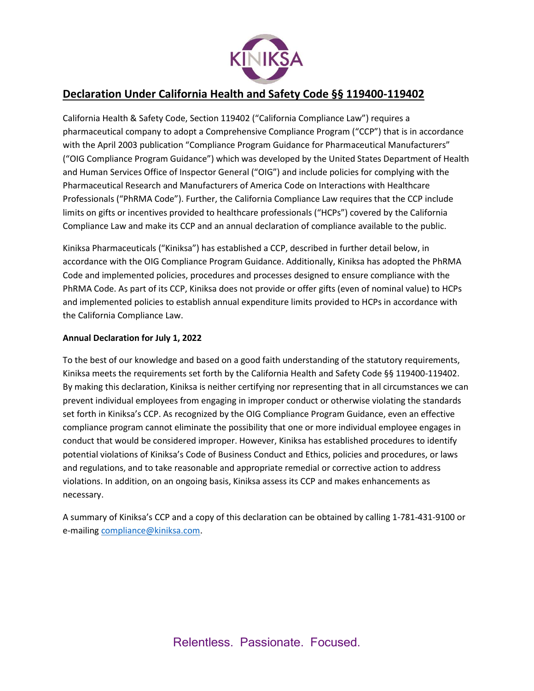

# **Declaration Under California Health and Safety Code §§ 119400-119402**

California Health & Safety Code, Section 119402 ("California Compliance Law") requires a pharmaceutical company to adopt a Comprehensive Compliance Program ("CCP") that is in accordance with the April 2003 publication "Compliance Program Guidance for Pharmaceutical Manufacturers" ("OIG Compliance Program Guidance") which was developed by the United States Department of Health and Human Services Office of Inspector General ("OIG") and include policies for complying with the Pharmaceutical Research and Manufacturers of America Code on Interactions with Healthcare Professionals ("PhRMA Code"). Further, the California Compliance Law requires that the CCP include limits on gifts or incentives provided to healthcare professionals ("HCPs") covered by the California Compliance Law and make its CCP and an annual declaration of compliance available to the public.

Kiniksa Pharmaceuticals ("Kiniksa") has established a CCP, described in further detail below, in accordance with the OIG Compliance Program Guidance. Additionally, Kiniksa has adopted the PhRMA Code and implemented policies, procedures and processes designed to ensure compliance with the PhRMA Code. As part of its CCP, Kiniksa does not provide or offer gifts (even of nominal value) to HCPs and implemented policies to establish annual expenditure limits provided to HCPs in accordance with the California Compliance Law.

# **Annual Declaration for July 1, 2022**

To the best of our knowledge and based on a good faith understanding of the statutory requirements, Kiniksa meets the requirements set forth by the California Health and Safety Code §§ 119400-119402. By making this declaration, Kiniksa is neither certifying nor representing that in all circumstances we can prevent individual employees from engaging in improper conduct or otherwise violating the standards set forth in Kiniksa's CCP. As recognized by the OIG Compliance Program Guidance, even an effective compliance program cannot eliminate the possibility that one or more individual employee engages in conduct that would be considered improper. However, Kiniksa has established procedures to identify potential violations of Kiniksa's Code of Business Conduct and Ethics, policies and procedures, or laws and regulations, and to take reasonable and appropriate remedial or corrective action to address violations. In addition, on an ongoing basis, Kiniksa assess its CCP and makes enhancements as necessary.

A summary of Kiniksa's CCP and a copy of this declaration can be obtained by calling 1-781-431-9100 or e-mailing [compliance@kiniksa.com.](mailto:compliance@kiniksa.com)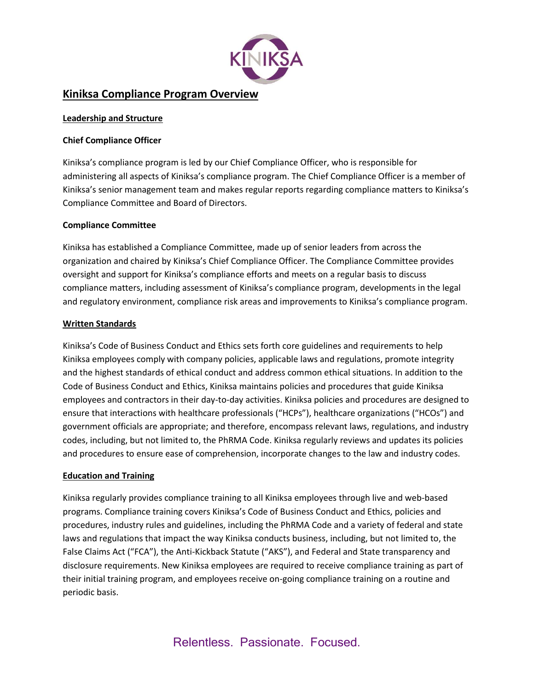

# **Kiniksa Compliance Program Overview**

### **Leadership and Structure**

## **Chief Compliance Officer**

Kiniksa's compliance program is led by our Chief Compliance Officer, who is responsible for administering all aspects of Kiniksa's compliance program. The Chief Compliance Officer is a member of Kiniksa's senior management team and makes regular reports regarding compliance matters to Kiniksa's Compliance Committee and Board of Directors.

### **Compliance Committee**

Kiniksa has established a Compliance Committee, made up of senior leaders from across the organization and chaired by Kiniksa's Chief Compliance Officer. The Compliance Committee provides oversight and support for Kiniksa's compliance efforts and meets on a regular basis to discuss compliance matters, including assessment of Kiniksa's compliance program, developments in the legal and regulatory environment, compliance risk areas and improvements to Kiniksa's compliance program.

### **Written Standards**

Kiniksa's Code of Business Conduct and Ethics sets forth core guidelines and requirements to help Kiniksa employees comply with company policies, applicable laws and regulations, promote integrity and the highest standards of ethical conduct and address common ethical situations. In addition to the Code of Business Conduct and Ethics, Kiniksa maintains policies and procedures that guide Kiniksa employees and contractors in their day-to-day activities. Kiniksa policies and procedures are designed to ensure that interactions with healthcare professionals ("HCPs"), healthcare organizations ("HCOs") and government officials are appropriate; and therefore, encompass relevant laws, regulations, and industry codes, including, but not limited to, the PhRMA Code. Kiniksa regularly reviews and updates its policies and procedures to ensure ease of comprehension, incorporate changes to the law and industry codes.

#### **Education and Training**

Kiniksa regularly provides compliance training to all Kiniksa employees through live and web-based programs. Compliance training covers Kiniksa's Code of Business Conduct and Ethics, policies and procedures, industry rules and guidelines, including the PhRMA Code and a variety of federal and state laws and regulations that impact the way Kiniksa conducts business, including, but not limited to, the False Claims Act ("FCA"), the Anti-Kickback Statute ("AKS"), and Federal and State transparency and disclosure requirements. New Kiniksa employees are required to receive compliance training as part of their initial training program, and employees receive on-going compliance training on a routine and periodic basis.